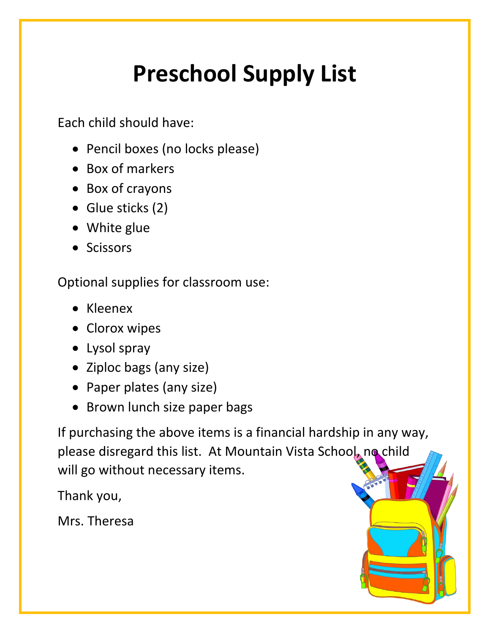# **Preschool Supply List**

Each child should have:

- Pencil boxes (no locks please)
- Box of markers
- Box of crayons
- Glue sticks (2)
- White glue
- Scissors

Optional supplies for classroom use:

- Kleenex
- Clorox wipes
- Lysol spray
- Ziploc bags (any size)
- Paper plates (any size)
- Brown lunch size paper bags

If purchasing the above items is a financial hardship in any way, please disregard this list. At Mountain Vista School, no child will go without necessary items.

Thank you,

Mrs. Theresa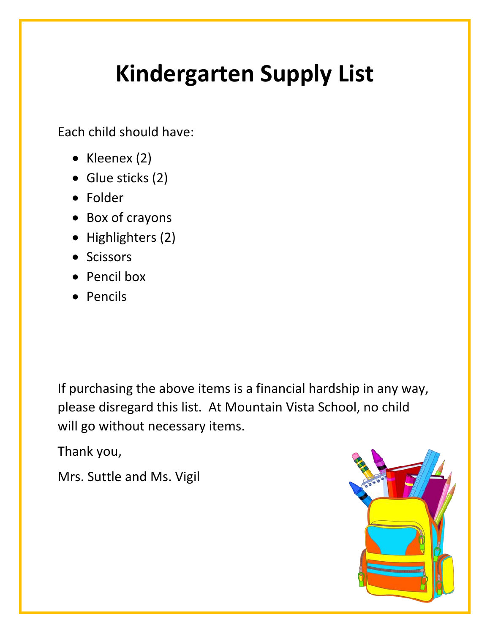# **Kindergarten Supply List**

Each child should have:

- Kleenex (2)
- Glue sticks (2)
- Folder
- Box of crayons
- Highlighters (2)
- Scissors
- Pencil box
- Pencils

If purchasing the above items is a financial hardship in any way, please disregard this list. At Mountain Vista School, no child will go without necessary items.

Thank you,

Mrs. Suttle and Ms. Vigil

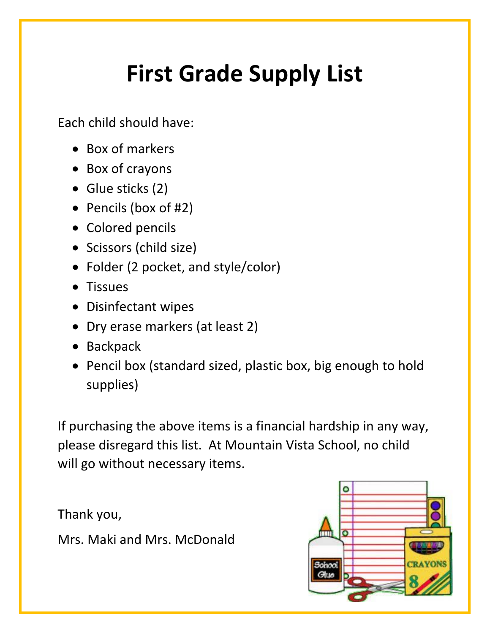# **First Grade Supply List**

Each child should have:

- Box of markers
- Box of crayons
- Glue sticks (2)
- Pencils (box of #2)
- Colored pencils
- Scissors (child size)
- Folder (2 pocket, and style/color)
- **Tissues**
- Disinfectant wipes
- Dry erase markers (at least 2)
- Backpack
- Pencil box (standard sized, plastic box, big enough to hold supplies)

If purchasing the above items is a financial hardship in any way, please disregard this list. At Mountain Vista School, no child will go without necessary items.

Thank you,

Mrs. Maki and Mrs. McDonald

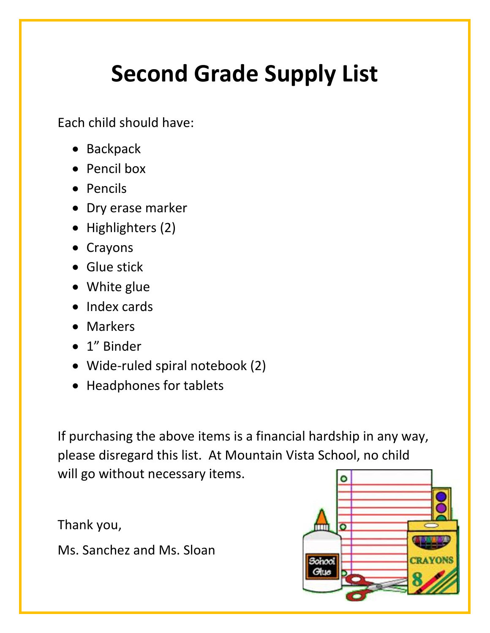# **Second Grade Supply List**

Each child should have:

- Backpack
- Pencil box
- Pencils
- Dry erase marker
- Highlighters (2)
- Crayons
- **•** Glue stick
- White glue
- Index cards
- Markers
- 1" Binder
- Wide-ruled spiral notebook (2)
- Headphones for tablets

If purchasing the above items is a financial hardship in any way, please disregard this list. At Mountain Vista School, no child will go without necessary items.

Thank you,

Ms. Sanchez and Ms. Sloan

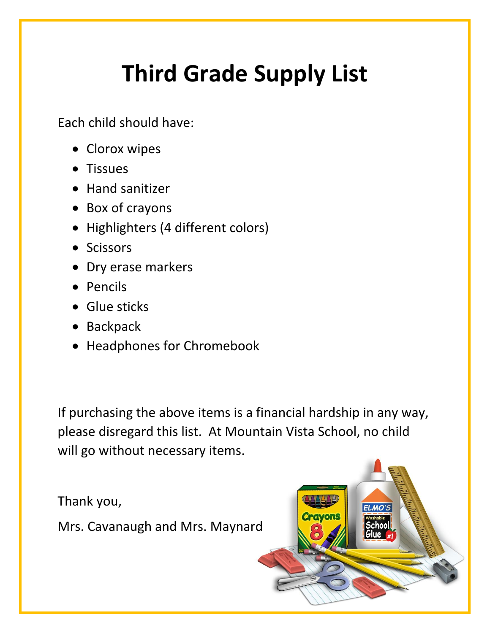# **Third Grade Supply List**

Each child should have:

- Clorox wipes
- Tissues
- Hand sanitizer
- Box of crayons
- Highlighters (4 different colors)
- Scissors
- Dry erase markers
- Pencils
- Glue sticks
- Backpack
- Headphones for Chromebook

If purchasing the above items is a financial hardship in any way, please disregard this list. At Mountain Vista School, no child will go without necessary items.

Thank you,

Mrs. Cavanaugh and Mrs. Maynard

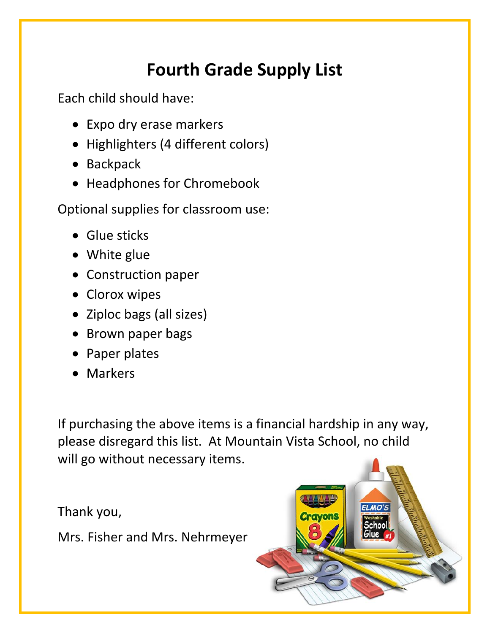#### **Fourth Grade Supply List**

Each child should have:

- Expo dry erase markers
- Highlighters (4 different colors)
- Backpack
- Headphones for Chromebook

Optional supplies for classroom use:

- Glue sticks
- White glue
- Construction paper
- Clorox wipes
- Ziploc bags (all sizes)
- Brown paper bags
- Paper plates
- Markers

If purchasing the above items is a financial hardship in any way, please disregard this list. At Mountain Vista School, no child will go without necessary items.

Thank you,

Mrs. Fisher and Mrs. Nehrmeyer

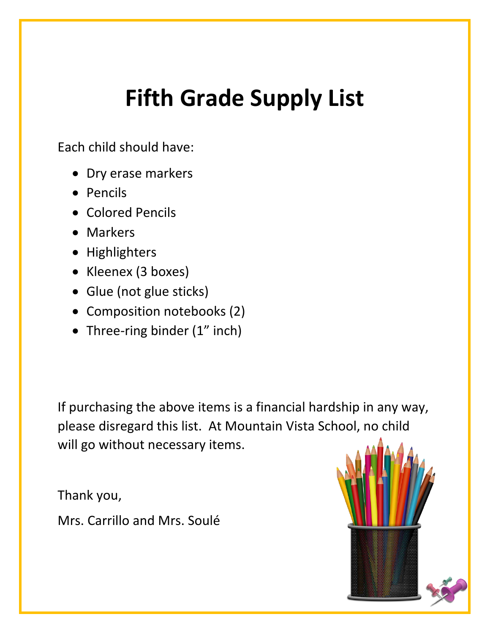#### **Fifth Grade Supply List**

Each child should have:

- Dry erase markers
- Pencils
- Colored Pencils
- Markers
- Highlighters
- Kleenex (3 boxes)
- Glue (not glue sticks)
- Composition notebooks (2)
- Three-ring binder (1" inch)

If purchasing the above items is a financial hardship in any way, please disregard this list. At Mountain Vista School, no child will go without necessary items.

Thank you,

Mrs. Carrillo and Mrs. Soulé

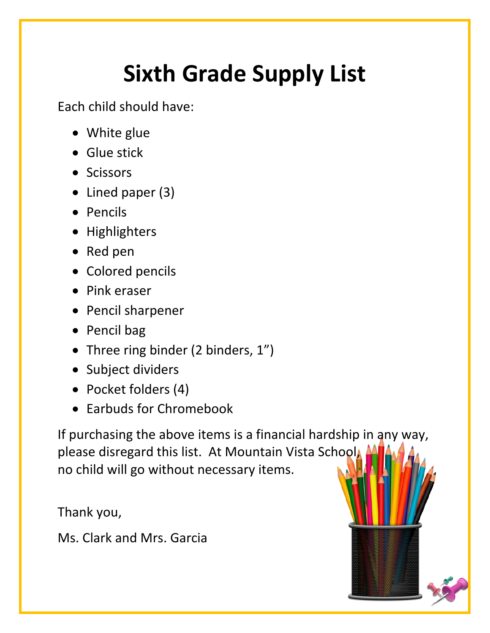# **Sixth Grade Supply List**

Each child should have:

- White glue
- Glue stick
- Scissors
- Lined paper (3)
- Pencils
- Highlighters
- Red pen
- Colored pencils
- Pink eraser
- Pencil sharpener
- Pencil bag
- Three ring binder (2 binders, 1")
- Subject dividers
- Pocket folders (4)
- Earbuds for Chromebook

If purchasing the above items is a financial hardship in any way, please disregard this list. At Mountain Vista School, no child will go without necessary items.

Thank you,

Ms. Clark and Mrs. Garcia